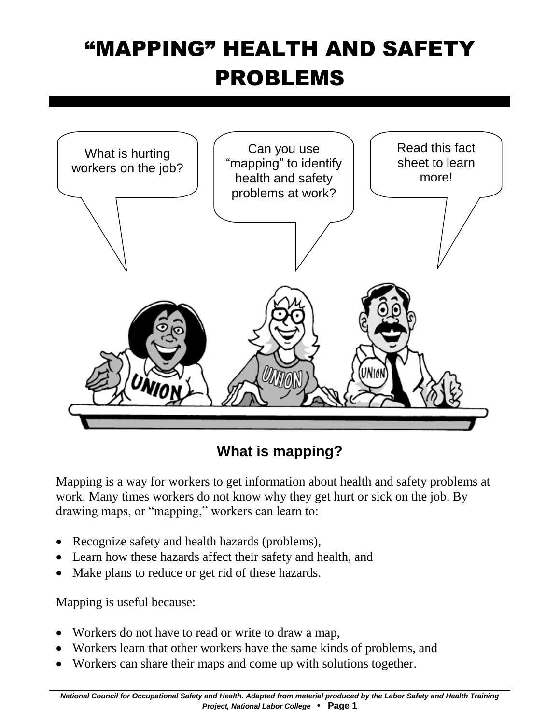# "MAPPING" HEALTH AND SAFETY PROBLEMS



**What is mapping?**

Mapping is a way for workers to get information about health and safety problems at work. Many times workers do not know why they get hurt or sick on the job. By drawing maps, or "mapping," workers can learn to:

- Recognize safety and health hazards (problems),
- Learn how these hazards affect their safety and health, and
- Make plans to reduce or get rid of these hazards.

Mapping is useful because:

- Workers do not have to read or write to draw a map,
- Workers learn that other workers have the same kinds of problems, and
- Workers can share their maps and come up with solutions together.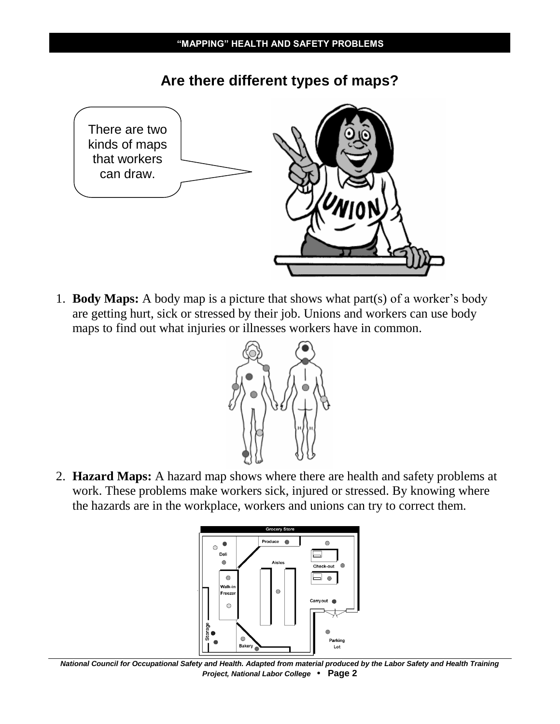

**Are there different types of maps?**

1. **Body Maps:** A body map is a picture that shows what part(s) of a worker's body are getting hurt, sick or stressed by their job. Unions and workers can use body maps to find out what injuries or illnesses workers have in common.



2. **Hazard Maps:** A hazard map shows where there are health and safety problems at work. These problems make workers sick, injured or stressed. By knowing where the hazards are in the workplace, workers and unions can try to correct them.



*National Council for Occupational Safety and Health. Adapted from material produced by the Labor Safety and Health Training Project, National Labor College* **• Page 2**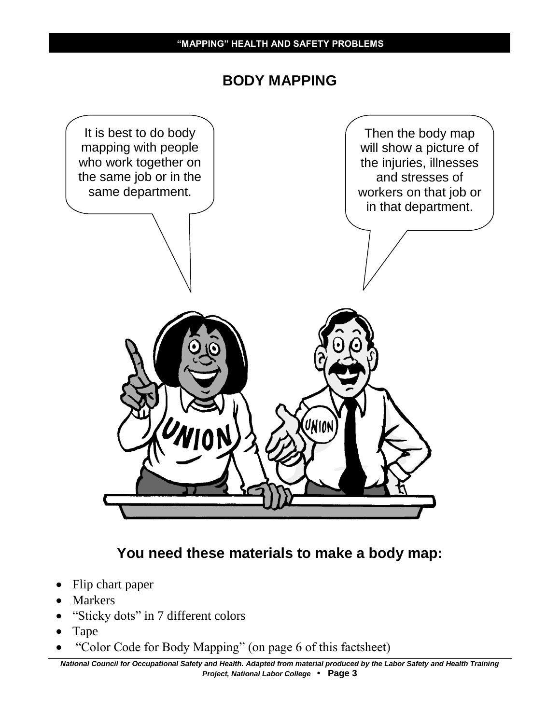#### **BODY MAPPING**



### **You need these materials to make a body map:**

- Flip chart paper
- Markers
- "Sticky dots" in 7 different colors
- Tape
- "Color Code for Body Mapping" (on page 6 of this factsheet)

*National Council for Occupational Safety and Health. Adapted from material produced by the Labor Safety and Health Training Project, National Labor College* **• Page 3**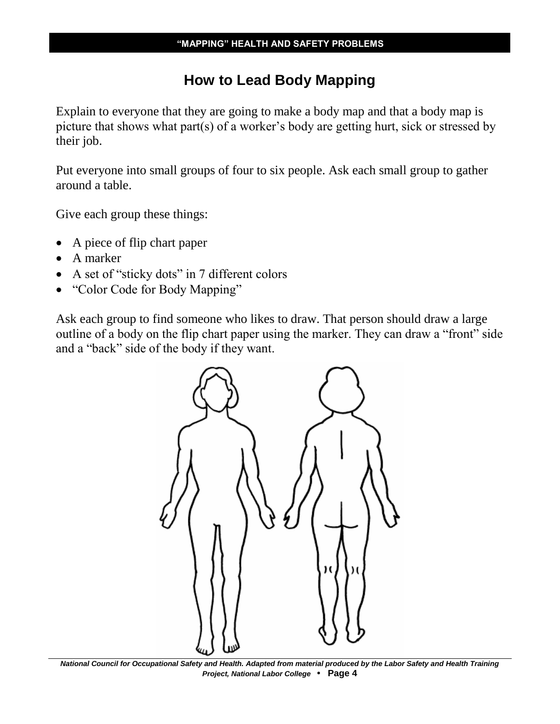### **How to Lead Body Mapping**

Explain to everyone that they are going to make a body map and that a body map is picture that shows what part(s) of a worker's body are getting hurt, sick or stressed by their job.

Put everyone into small groups of four to six people. Ask each small group to gather around a table.

Give each group these things:

- A piece of flip chart paper
- A marker
- A set of "sticky dots" in 7 different colors
- "Color Code for Body Mapping"

Ask each group to find someone who likes to draw. That person should draw a large outline of a body on the flip chart paper using the marker. They can draw a "front" side and a "back" side of the body if they want.



*National Council for Occupational Safety and Health. Adapted from material produced by the Labor Safety and Health Training Project, National Labor College* **• Page 4**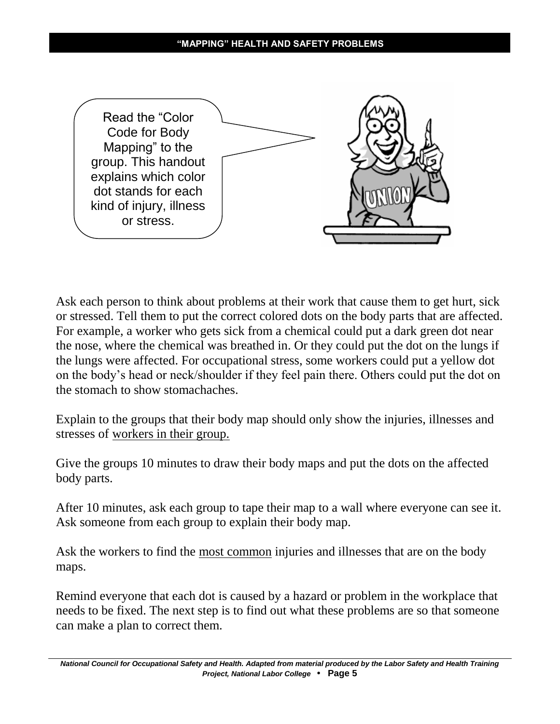

Ask each person to think about problems at their work that cause them to get hurt, sick or stressed. Tell them to put the correct colored dots on the body parts that are affected. For example, a worker who gets sick from a chemical could put a dark green dot near the nose, where the chemical was breathed in. Or they could put the dot on the lungs if the lungs were affected. For occupational stress, some workers could put a yellow dot on the body's head or neck/shoulder if they feel pain there. Others could put the dot on the stomach to show stomachaches.

Explain to the groups that their body map should only show the injuries, illnesses and stresses of workers in their group.

Give the groups 10 minutes to draw their body maps and put the dots on the affected body parts.

After 10 minutes, ask each group to tape their map to a wall where everyone can see it. Ask someone from each group to explain their body map.

Ask the workers to find the most common injuries and illnesses that are on the body maps.

Remind everyone that each dot is caused by a hazard or problem in the workplace that needs to be fixed. The next step is to find out what these problems are so that someone can make a plan to correct them.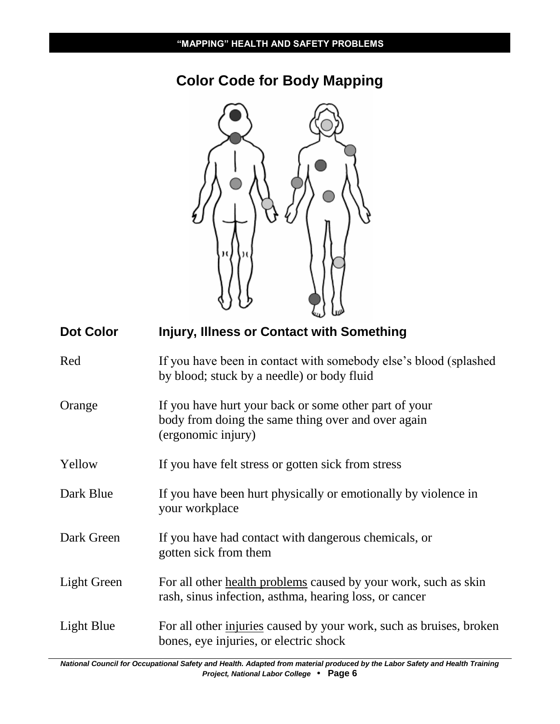# **Color Code for Body Mapping**



| <b>Dot Color</b>   | <b>Injury, Illness or Contact with Something</b>                                                                                  |
|--------------------|-----------------------------------------------------------------------------------------------------------------------------------|
| Red                | If you have been in contact with somebody else's blood (splashed)<br>by blood; stuck by a needle) or body fluid                   |
| Orange             | If you have hurt your back or some other part of your<br>body from doing the same thing over and over again<br>(ergonomic injury) |
| Yellow             | If you have felt stress or gotten sick from stress                                                                                |
| Dark Blue          | If you have been hurt physically or emotionally by violence in<br>your workplace                                                  |
| Dark Green         | If you have had contact with dangerous chemicals, or<br>gotten sick from them                                                     |
| <b>Light Green</b> | For all other health problems caused by your work, such as skin<br>rash, sinus infection, asthma, hearing loss, or cancer         |
| Light Blue         | For all other injuries caused by your work, such as bruises, broken<br>bones, eye injuries, or electric shock                     |

*National Council for Occupational Safety and Health. Adapted from material produced by the Labor Safety and Health Training Project, National Labor College* **• Page 6**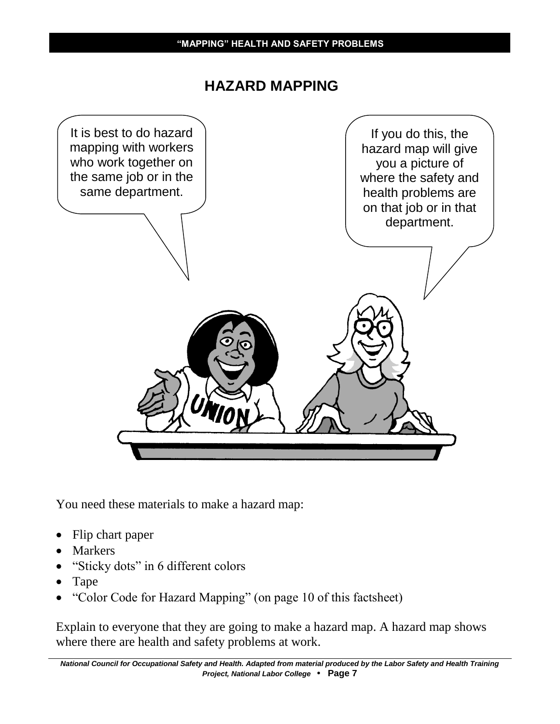#### **HAZARD MAPPING**



You need these materials to make a hazard map:

- Flip chart paper
- Markers
- "Sticky dots" in 6 different colors
- Tape
- "Color Code for Hazard Mapping" (on page 10 of this factsheet)

Explain to everyone that they are going to make a hazard map. A hazard map shows where there are health and safety problems at work.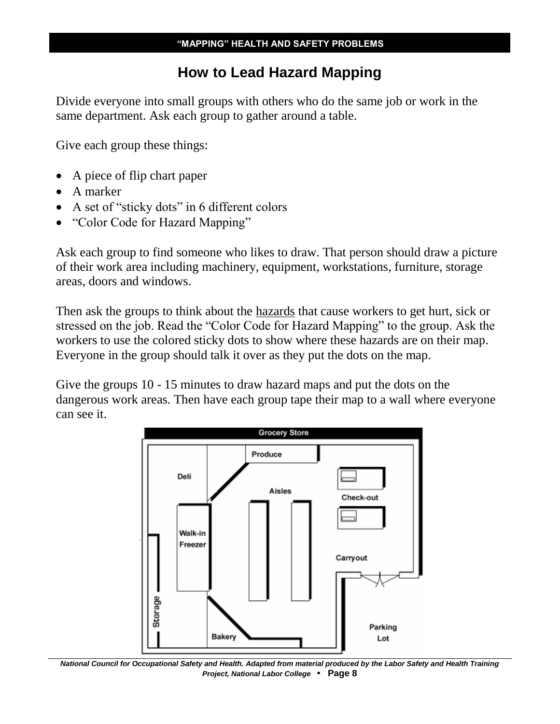#### **How to Lead Hazard Mapping**

Divide everyone into small groups with others who do the same job or work in the same department. Ask each group to gather around a table.

Give each group these things:

- A piece of flip chart paper
- A marker
- A set of "sticky dots" in 6 different colors
- "Color Code for Hazard Mapping"

Ask each group to find someone who likes to draw. That person should draw a picture of their work area including machinery, equipment, workstations, furniture, storage areas, doors and windows.

Then ask the groups to think about the hazards that cause workers to get hurt, sick or stressed on the job. Read the "Color Code for Hazard Mapping" to the group. Ask the workers to use the colored sticky dots to show where these hazards are on their map. Everyone in the group should talk it over as they put the dots on the map.

Give the groups 10 - 15 minutes to draw hazard maps and put the dots on the dangerous work areas. Then have each group tape their map to a wall where everyone can see it.



*National Council for Occupational Safety and Health. Adapted from material produced by the Labor Safety and Health Training Project, National Labor College* **• Page 8**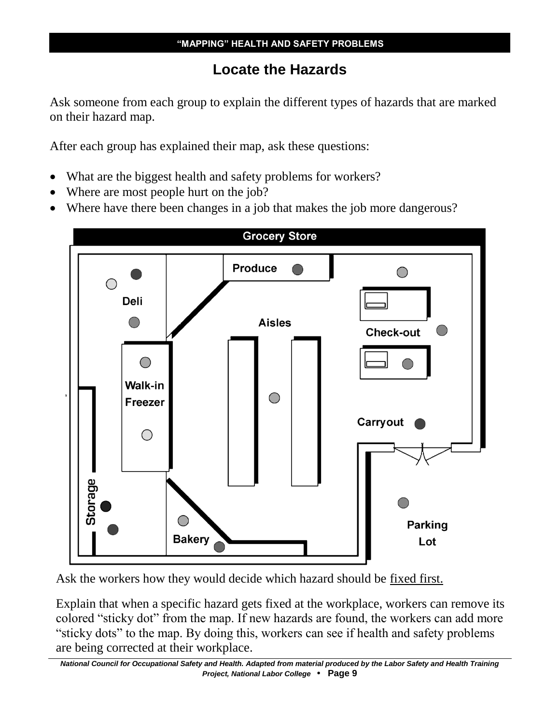## **Locate the Hazards**

Ask someone from each group to explain the different types of hazards that are marked on their hazard map.

After each group has explained their map, ask these questions:

- What are the biggest health and safety problems for workers?
- Where are most people hurt on the job?
- Where have there been changes in a job that makes the job more dangerous?



Ask the workers how they would decide which hazard should be fixed first.

Explain that when a specific hazard gets fixed at the workplace, workers can remove its colored "sticky dot" from the map. If new hazards are found, the workers can add more "sticky dots" to the map. By doing this, workers can see if health and safety problems are being corrected at their workplace.

*National Council for Occupational Safety and Health. Adapted from material produced by the Labor Safety and Health Training Project, National Labor College* **• Page 9**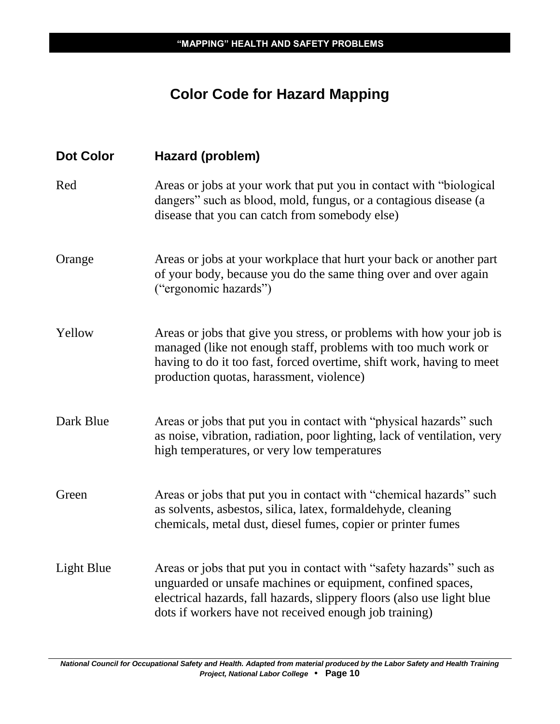# **Color Code for Hazard Mapping**

| <b>Dot Color</b>  | Hazard (problem)                                                                                                                                                                                                                                                       |
|-------------------|------------------------------------------------------------------------------------------------------------------------------------------------------------------------------------------------------------------------------------------------------------------------|
| Red               | Areas or jobs at your work that put you in contact with "biological<br>dangers" such as blood, mold, fungus, or a contagious disease (a<br>disease that you can catch from somebody else)                                                                              |
| Orange            | Areas or jobs at your workplace that hurt your back or another part<br>of your body, because you do the same thing over and over again<br>("ergonomic hazards")                                                                                                        |
| Yellow            | Areas or jobs that give you stress, or problems with how your job is<br>managed (like not enough staff, problems with too much work or<br>having to do it too fast, forced overtime, shift work, having to meet<br>production quotas, harassment, violence)            |
| Dark Blue         | Areas or jobs that put you in contact with "physical hazards" such<br>as noise, vibration, radiation, poor lighting, lack of ventilation, very<br>high temperatures, or very low temperatures                                                                          |
| Green             | Areas or jobs that put you in contact with "chemical hazards" such<br>as solvents, asbestos, silica, latex, formaldehyde, cleaning<br>chemicals, metal dust, diesel fumes, copier or printer fumes                                                                     |
| <b>Light Blue</b> | Areas or jobs that put you in contact with "safety hazards" such as<br>unguarded or unsafe machines or equipment, confined spaces,<br>electrical hazards, fall hazards, slippery floors (also use light blue<br>dots if workers have not received enough job training) |